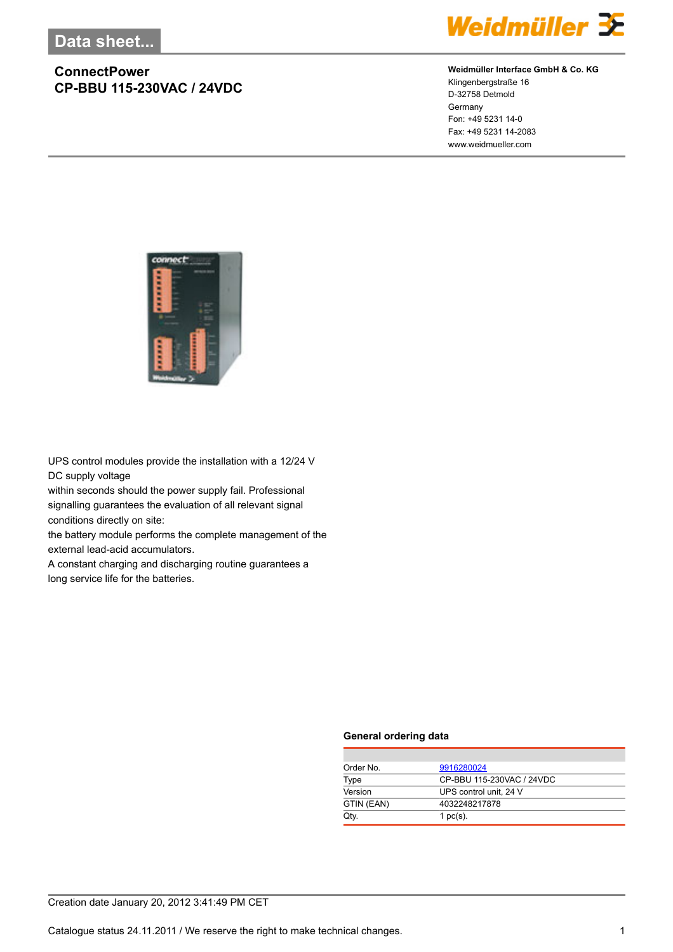

#### **Weidmüller Interface GmbH & Co. KG**

Klingenbergstraße 16 D-32758 Detmold Germany Fon: +49 5231 14-0 Fax: +49 5231 14-2083 www.weidmueller.com



UPS control modules provide the installation with a 12/24 V DC supply voltage

within seconds should the power supply fail. Professional signalling guarantees the evaluation of all relevant signal conditions directly on site:

the battery module performs the complete management of the external lead-acid accumulators.

A constant charging and discharging routine guarantees a long service life for the batteries.

#### **General ordering data**

| Order No.  | 9916280024                |
|------------|---------------------------|
| Type       | CP-BBU 115-230VAC / 24VDC |
| Version    | UPS control unit, 24 V    |
| GTIN (EAN) | 4032248217878             |
| Qtv.       | 1 $pc(s)$ .               |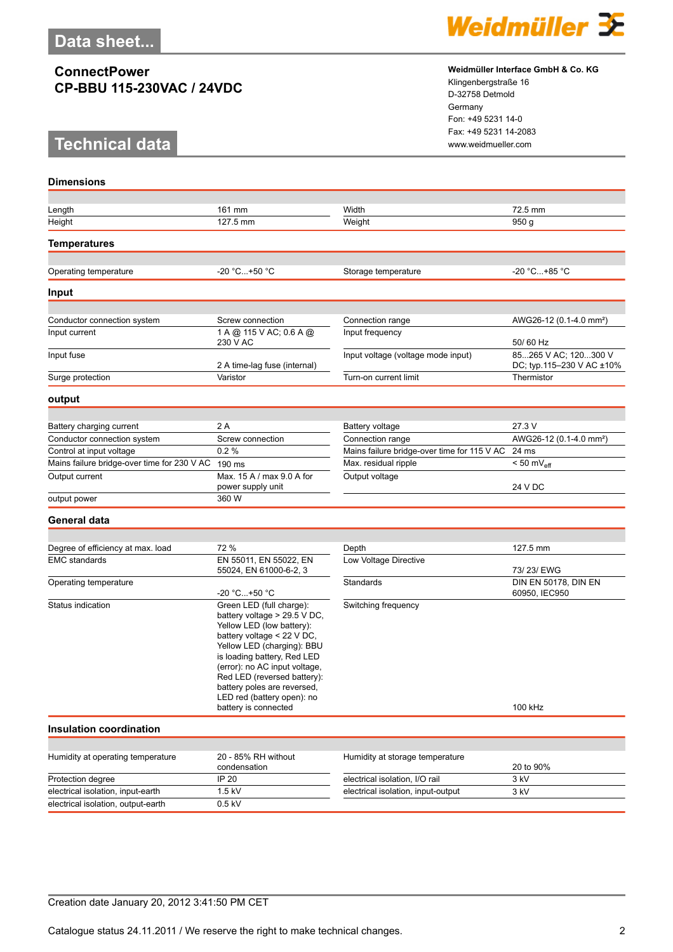# **Technical data www.weidmueller.com**



#### **Weidmüller Interface GmbH & Co. KG**

Klingenbergstraße 16 D-32758 Detmold Germany Fon: +49 5231 14-0 Fax: +49 5231 14-2083

| <b>Dimensions</b>                           |                                                                                                                                                                                                                                                                                                                                       |                                             |                                                   |
|---------------------------------------------|---------------------------------------------------------------------------------------------------------------------------------------------------------------------------------------------------------------------------------------------------------------------------------------------------------------------------------------|---------------------------------------------|---------------------------------------------------|
|                                             |                                                                                                                                                                                                                                                                                                                                       |                                             |                                                   |
| Length                                      | 161 mm                                                                                                                                                                                                                                                                                                                                | Width                                       | 72.5 mm                                           |
| Height                                      | 127.5 mm                                                                                                                                                                                                                                                                                                                              | Weight                                      | 950 <sub>g</sub>                                  |
| <b>Temperatures</b>                         |                                                                                                                                                                                                                                                                                                                                       |                                             |                                                   |
|                                             |                                                                                                                                                                                                                                                                                                                                       |                                             |                                                   |
| Operating temperature                       | -20 °C+50 °C                                                                                                                                                                                                                                                                                                                          | Storage temperature                         | -20 °C+85 °C                                      |
| Input                                       |                                                                                                                                                                                                                                                                                                                                       |                                             |                                                   |
|                                             |                                                                                                                                                                                                                                                                                                                                       |                                             |                                                   |
| Conductor connection system                 | Screw connection<br>1 A @ 115 V AC; 0.6 A @                                                                                                                                                                                                                                                                                           | Connection range                            | AWG26-12 (0.1-4.0 mm <sup>2</sup> )               |
| Input current                               | 230 V AC                                                                                                                                                                                                                                                                                                                              | Input frequency                             | 50/60 Hz                                          |
| Input fuse                                  | 2 A time-lag fuse (internal)                                                                                                                                                                                                                                                                                                          | Input voltage (voltage mode input)          | 85265 V AC; 120300 V<br>DC; typ.115-230 V AC ±10% |
| Surge protection                            | Varistor                                                                                                                                                                                                                                                                                                                              | Turn-on current limit                       | Thermistor                                        |
| output                                      |                                                                                                                                                                                                                                                                                                                                       |                                             |                                                   |
|                                             |                                                                                                                                                                                                                                                                                                                                       |                                             |                                                   |
| Battery charging current                    | 2A                                                                                                                                                                                                                                                                                                                                    | <b>Battery voltage</b>                      | 27.3 V                                            |
| Conductor connection system                 | Screw connection                                                                                                                                                                                                                                                                                                                      | Connection range                            | AWG26-12 (0.1-4.0 mm <sup>2</sup> )               |
| Control at input voltage                    | 0.2%                                                                                                                                                                                                                                                                                                                                  | Mains failure bridge-over time for 115 V AC | 24 ms                                             |
| Mains failure bridge-over time for 230 V AC | 190 ms                                                                                                                                                                                                                                                                                                                                | Max. residual ripple                        | $< 50$ mV <sub>eff</sub>                          |
| Output current                              | Max. 15 A / max 9.0 A for<br>power supply unit                                                                                                                                                                                                                                                                                        | Output voltage                              | 24 V DC                                           |
| output power                                | 360 W                                                                                                                                                                                                                                                                                                                                 |                                             |                                                   |
| General data                                |                                                                                                                                                                                                                                                                                                                                       |                                             |                                                   |
|                                             |                                                                                                                                                                                                                                                                                                                                       |                                             |                                                   |
| Degree of efficiency at max. load           | 72 %                                                                                                                                                                                                                                                                                                                                  | Depth                                       | 127.5 mm                                          |
| <b>EMC</b> standards                        | EN 55011, EN 55022, EN<br>55024, EN 61000-6-2, 3                                                                                                                                                                                                                                                                                      | Low Voltage Directive                       | 73/23/EWG                                         |
| Operating temperature                       | -20 °C+50 °C                                                                                                                                                                                                                                                                                                                          | Standards                                   | DIN EN 50178, DIN EN<br>60950, IEC950             |
| Status indication                           | Green LED (full charge):<br>battery voltage > 29.5 V DC,<br>Yellow LED (low battery):<br>battery voltage < 22 V DC,<br>Yellow LED (charging): BBU<br>is loading battery, Red LED<br>(error): no AC input voltage,<br>Red LED (reversed battery):<br>battery poles are reversed,<br>LED red (battery open): no<br>battery is connected | Switching frequency                         | 100 kHz                                           |
| <b>Insulation coordination</b>              |                                                                                                                                                                                                                                                                                                                                       |                                             |                                                   |
|                                             |                                                                                                                                                                                                                                                                                                                                       |                                             |                                                   |
| Humidity at operating temperature           | 20 - 85% RH without<br>condensation                                                                                                                                                                                                                                                                                                   | Humidity at storage temperature             | 20 to 90%                                         |
| Protection degree                           | IP 20                                                                                                                                                                                                                                                                                                                                 | electrical isolation, I/O rail              | 3 kV                                              |
| electrical isolation, input-earth           | 1.5 kV                                                                                                                                                                                                                                                                                                                                | electrical isolation, input-output          | 3 kV                                              |
| electrical isolation, output-earth          | $0.5$ kV                                                                                                                                                                                                                                                                                                                              |                                             |                                                   |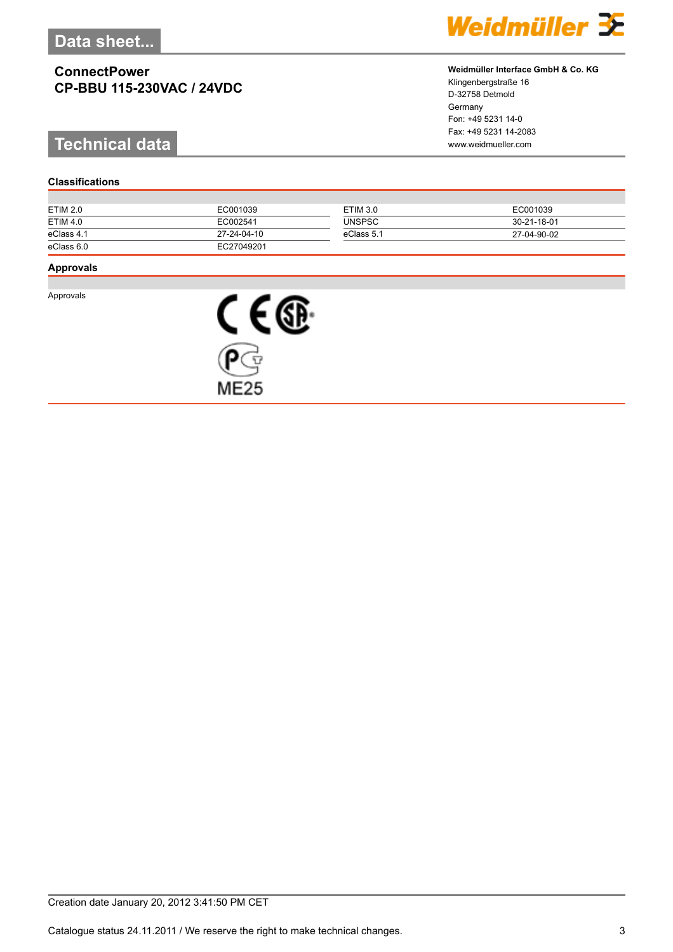# **Technical data www.weidmueller.com**

#### **Classifications**

| Weidmüller 3 |  |  |  |  |  |  |  |
|--------------|--|--|--|--|--|--|--|
|--------------|--|--|--|--|--|--|--|

#### **Weidmüller Interface GmbH & Co. KG**

Klingenbergstraße 16 D-32758 Detmold Germany Fon: +49 5231 14-0 Fax: +49 5231 14-2083

| ETIM 2.0        | EC001039    | <b>ETIM 3.0</b> | EC001039    |
|-----------------|-------------|-----------------|-------------|
| <b>ETIM 4.0</b> | EC002541    | <b>UNSPSC</b>   | 30-21-18-01 |
| eClass 4.1      | 27-24-04-10 | eClass 5.1      | 27-04-90-02 |
| eClass 6.0      | EC27049201  |                 |             |

#### **Approvals**

Approvals